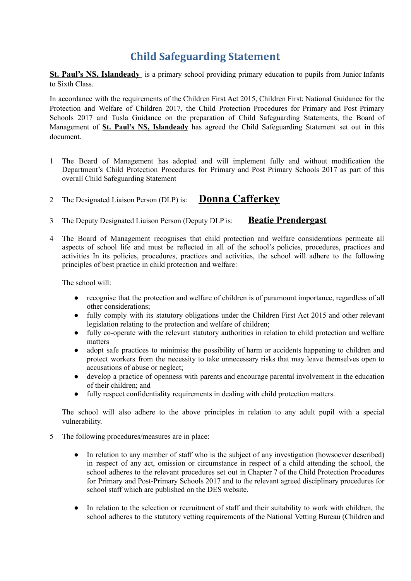## **Child Safeguarding Statement**

**St. Paul's NS, Islandeady** is a primary school providing primary education to pupils from Junior Infants to Sixth Class.

In accordance with the requirements of the Children First Act 2015, Children First: National Guidance for the Protection and Welfare of Children 2017, the Child Protection Procedures for Primary and Post Primary Schools 2017 and Tusla Guidance on the preparation of Child Safeguarding Statements, the Board of Management of **St. Paul's NS, Islandeady** has agreed the Child Safeguarding Statement set out in this document.

1 The Board of Management has adopted and will implement fully and without modification the Department's Child Protection Procedures for Primary and Post Primary Schools 2017 as part of this overall Child Safeguarding Statement

## <sup>2</sup> The Designated Liaison Person (DLP) is: **Donna Cafferkey**

- 3 The Deputy Designated Liaison Person (Deputy DLP is: **Beatie Prendergast**
- 4 The Board of Management recognises that child protection and welfare considerations permeate all aspects of school life and must be reflected in all of the school's policies, procedures, practices and activities In its policies, procedures, practices and activities, the school will adhere to the following principles of best practice in child protection and welfare:

The school will:

- recognise that the protection and welfare of children is of paramount importance, regardless of all other considerations;
- fully comply with its statutory obligations under the Children First Act 2015 and other relevant legislation relating to the protection and welfare of children;
- fully co-operate with the relevant statutory authorities in relation to child protection and welfare matters
- adopt safe practices to minimise the possibility of harm or accidents happening to children and protect workers from the necessity to take unnecessary risks that may leave themselves open to accusations of abuse or neglect;
- develop a practice of openness with parents and encourage parental involvement in the education of their children; and
- fully respect confidentiality requirements in dealing with child protection matters.

The school will also adhere to the above principles in relation to any adult pupil with a special vulnerability.

- 5 The following procedures/measures are in place:
	- In relation to any member of staff who is the subject of any investigation (howsoever described) in respect of any act, omission or circumstance in respect of a child attending the school, the school adheres to the relevant procedures set out in Chapter 7 of the Child Protection Procedures for Primary and Post-Primary Schools 2017 and to the relevant agreed disciplinary procedures for school staff which are published on the DES website.
	- In relation to the selection or recruitment of staff and their suitability to work with children, the school adheres to the statutory vetting requirements of the National Vetting Bureau (Children and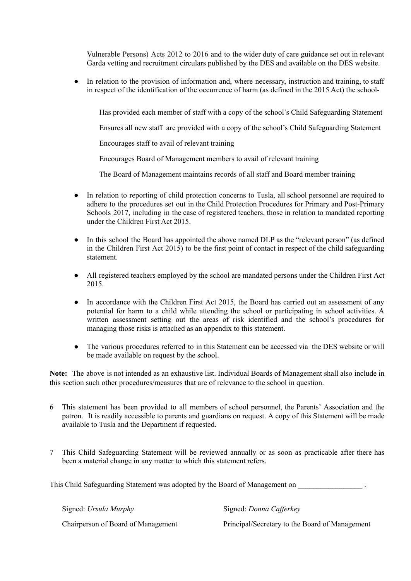Vulnerable Persons) Acts 2012 to 2016 and to the wider duty of care guidance set out in relevant Garda vetting and recruitment circulars published by the DES and available on the DES website.

• In relation to the provision of information and, where necessary, instruction and training, to staff in respect of the identification of the occurrence of harm (as defined in the 2015 Act) the school-

Has provided each member of staff with a copy of the school's Child Safeguarding Statement

Ensures all new staff are provided with a copy of the school's Child Safeguarding Statement

Encourages staff to avail of relevant training

Encourages Board of Management members to avail of relevant training

The Board of Management maintains records of all staff and Board member training

- In relation to reporting of child protection concerns to Tusla, all school personnel are required to adhere to the procedures set out in the Child Protection Procedures for Primary and Post-Primary Schools 2017, including in the case of registered teachers, those in relation to mandated reporting under the Children First Act 2015.
- In this school the Board has appointed the above named DLP as the "relevant person" (as defined in the Children First Act 2015) to be the first point of contact in respect of the child safeguarding statement.
- All registered teachers employed by the school are mandated persons under the Children First Act 2015.
- In accordance with the Children First Act 2015, the Board has carried out an assessment of any potential for harm to a child while attending the school or participating in school activities. A written assessment setting out the areas of risk identified and the school's procedures for managing those risks is attached as an appendix to this statement.
- The various procedures referred to in this Statement can be accessed via the DES website or will be made available on request by the school.

**Note:** The above is not intended as an exhaustive list. Individual Boards of Management shall also include in this section such other procedures/measures that are of relevance to the school in question.

- 6 This statement has been provided to all members of school personnel, the Parents' Association and the patron. It is readily accessible to parents and guardians on request. A copy of this Statement will be made available to Tusla and the Department if requested.
- 7 This Child Safeguarding Statement will be reviewed annually or as soon as practicable after there has been a material change in any matter to which this statement refers.

This Child Safeguarding Statement was adopted by the Board of Management on

Signed: *Ursula Murphy* Signed: *Donna Cafferkey* 

Chairperson of Board of Management Principal/Secretary to the Board of Management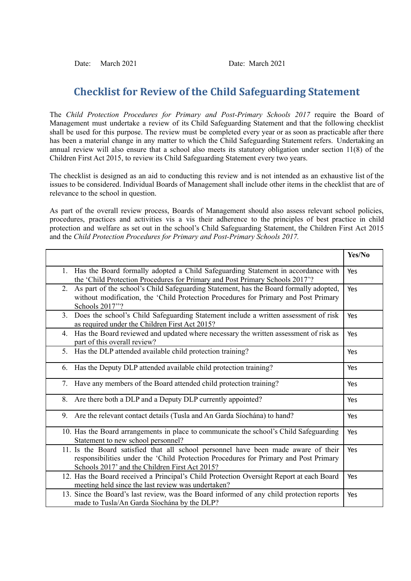Date: March 2021 Date: March 2021

## **Checklist for Review of the Child Safeguarding Statement**

The *Child Protection Procedures for Primary and Post-Primary Schools 2017* require the Board of Management must undertake a review of its Child Safeguarding Statement and that the following checklist shall be used for this purpose. The review must be completed every year or as soon as practicable after there has been a material change in any matter to which the Child Safeguarding Statement refers. Undertaking an annual review will also ensure that a school also meets its statutory obligation under section 11(8) of the Children First Act 2015, to review its Child Safeguarding Statement every two years.

The checklist is designed as an aid to conducting this review and is not intended as an exhaustive list of the issues to be considered. Individual Boards of Management shall include other items in the checklist that are of relevance to the school in question.

As part of the overall review process, Boards of Management should also assess relevant school policies, procedures, practices and activities vis a vis their adherence to the principles of best practice in child protection and welfare as set out in the school's Child Safeguarding Statement, the Children First Act 2015 and the *Child Protection Procedures for Primary and Post-Primary Schools 2017.*

|                                                                                                                                                                                                                              | Yes/No |
|------------------------------------------------------------------------------------------------------------------------------------------------------------------------------------------------------------------------------|--------|
| 1. Has the Board formally adopted a Child Safeguarding Statement in accordance with<br>the 'Child Protection Procedures for Primary and Post Primary Schools 2017'?                                                          | Yes    |
| As part of the school's Child Safeguarding Statement, has the Board formally adopted,<br>2.<br>without modification, the 'Child Protection Procedures for Primary and Post Primary<br>Schools 2017"?                         | Yes    |
| Does the school's Child Safeguarding Statement include a written assessment of risk<br>3.<br>as required under the Children First Act 2015?                                                                                  | Yes    |
| Has the Board reviewed and updated where necessary the written assessment of risk as<br>4.<br>part of this overall review?                                                                                                   | Yes    |
| Has the DLP attended available child protection training?<br>5.                                                                                                                                                              | Yes    |
| Has the Deputy DLP attended available child protection training?<br>6.                                                                                                                                                       | Yes    |
| Have any members of the Board attended child protection training?<br>7.                                                                                                                                                      | Yes    |
| Are there both a DLP and a Deputy DLP currently appointed?<br>8.                                                                                                                                                             | Yes    |
| Are the relevant contact details (Tusla and An Garda Síochána) to hand?<br>9.                                                                                                                                                | Yes    |
| 10. Has the Board arrangements in place to communicate the school's Child Safeguarding<br>Statement to new school personnel?                                                                                                 | Yes    |
| 11. Is the Board satisfied that all school personnel have been made aware of their<br>responsibilities under the 'Child Protection Procedures for Primary and Post Primary<br>Schools 2017' and the Children First Act 2015? | Yes    |
| 12. Has the Board received a Principal's Child Protection Oversight Report at each Board<br>meeting held since the last review was undertaken?                                                                               | Yes    |
| 13. Since the Board's last review, was the Board informed of any child protection reports<br>made to Tusla/An Garda Síochána by the DLP?                                                                                     | Yes    |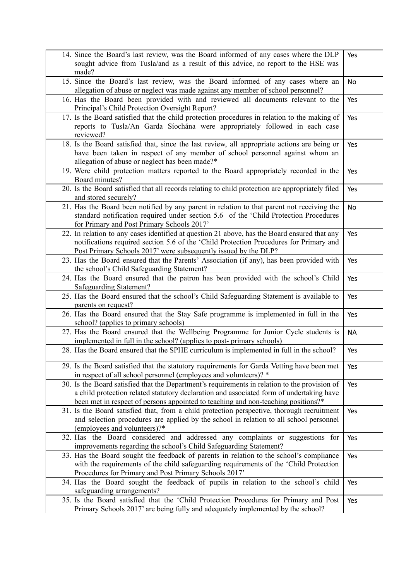| 14. Since the Board's last review, was the Board informed of any cases where the DLP<br>sought advice from Tusla/and as a result of this advice, no report to the HSE was<br>made?                                                                                             | Yes       |
|--------------------------------------------------------------------------------------------------------------------------------------------------------------------------------------------------------------------------------------------------------------------------------|-----------|
| 15. Since the Board's last review, was the Board informed of any cases where an<br>allegation of abuse or neglect was made against any member of school personnel?                                                                                                             | No        |
| 16. Has the Board been provided with and reviewed all documents relevant to the<br>Principal's Child Protection Oversight Report?                                                                                                                                              | Yes       |
| 17. Is the Board satisfied that the child protection procedures in relation to the making of<br>reports to Tusla/An Garda Síochána were appropriately followed in each case<br>reviewed?                                                                                       | Yes       |
| 18. Is the Board satisfied that, since the last review, all appropriate actions are being or<br>have been taken in respect of any member of school personnel against whom an<br>allegation of abuse or neglect has been made?*                                                 | Yes       |
| 19. Were child protection matters reported to the Board appropriately recorded in the<br>Board minutes?                                                                                                                                                                        | Yes       |
| 20. Is the Board satisfied that all records relating to child protection are appropriately filed<br>and stored securely?                                                                                                                                                       | Yes       |
| 21. Has the Board been notified by any parent in relation to that parent not receiving the<br>standard notification required under section 5.6 of the 'Child Protection Procedures<br>for Primary and Post Primary Schools 2017'                                               | No        |
| 22. In relation to any cases identified at question 21 above, has the Board ensured that any<br>notifications required section 5.6 of the 'Child Protection Procedures for Primary and<br>Post Primary Schools 2017' were subsequently issued by the DLP?                      | Yes       |
| 23. Has the Board ensured that the Parents' Association (if any), has been provided with<br>the school's Child Safeguarding Statement?                                                                                                                                         | Yes       |
| 24. Has the Board ensured that the patron has been provided with the school's Child<br>Safeguarding Statement?                                                                                                                                                                 | Yes       |
| 25. Has the Board ensured that the school's Child Safeguarding Statement is available to<br>parents on request?                                                                                                                                                                | Yes       |
| 26. Has the Board ensured that the Stay Safe programme is implemented in full in the<br>school? (applies to primary schools)                                                                                                                                                   | Yes       |
| 27. Has the Board ensured that the Wellbeing Programme for Junior Cycle students is<br>implemented in full in the school? (applies to post-primary schools)                                                                                                                    | <b>NA</b> |
| 28. Has the Board ensured that the SPHE curriculum is implemented in full in the school?                                                                                                                                                                                       | Yes       |
| 29. Is the Board satisfied that the statutory requirements for Garda Vetting have been met<br>in respect of all school personnel (employees and volunteers)? *                                                                                                                 | Yes       |
| 30. Is the Board satisfied that the Department's requirements in relation to the provision of<br>a child protection related statutory declaration and associated form of undertaking have<br>been met in respect of persons appointed to teaching and non-teaching positions?* | Yes       |
| 31. Is the Board satisfied that, from a child protection perspective, thorough recruitment<br>and selection procedures are applied by the school in relation to all school personnel<br>(employees and volunteers)?*                                                           | Yes       |
| 32. Has the Board considered and addressed any complaints or suggestions for<br>improvements regarding the school's Child Safeguarding Statement?                                                                                                                              | Yes       |
| 33. Has the Board sought the feedback of parents in relation to the school's compliance<br>with the requirements of the child safeguarding requirements of the 'Child Protection<br>Procedures for Primary and Post Primary Schools 2017'                                      | Yes       |
| 34. Has the Board sought the feedback of pupils in relation to the school's child<br>safeguarding arrangements?                                                                                                                                                                | Yes       |
| 35. Is the Board satisfied that the 'Child Protection Procedures for Primary and Post<br>Primary Schools 2017' are being fully and adequately implemented by the school?                                                                                                       | Yes       |